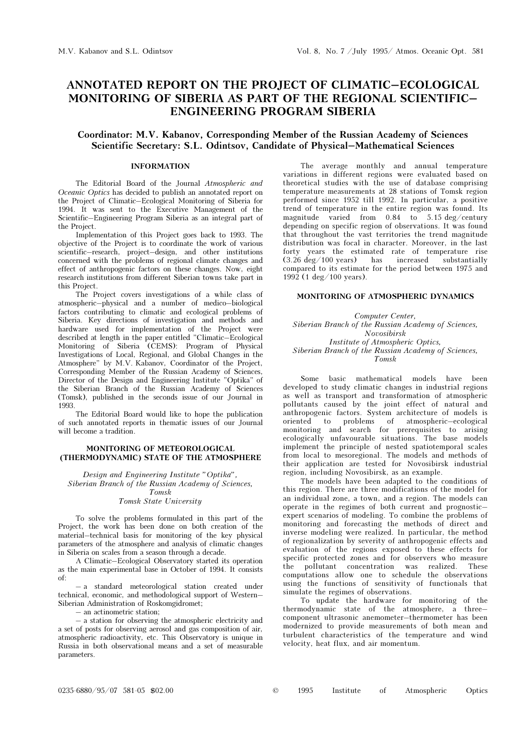# ANNOTATED REPORT ON THE PROJECT OF CLIMATIC–ECOLOGICAL MONITORING OF SIBERIA AS PART OF THE REGIONAL SCIENTIFIC– ENGINEERING PROGRAM SIBERIA

## Coordinator: M.V. Kabanov, Corresponding Member of the Russian Academy of Sciences Scientific Secretary: S.L. Odintsov, Candidate of Physical–Mathematical Sciences

## INFORMATION

The Editorial Board of the Journal Atmospheric and Oceanic Optics has decided to publish an annotated report on the Project of Climatic–Ecological Monitoring of Siberia for 1994. It was sent to the Executive Management of the Scientific–Engineering Program Siberia as an integral part of the Project.

Implementation of this Project goes back to 1993. The objective of the Project is to coordinate the work of various scientific–research, project–design, and other institutions concerned with the problems of regional climate changes and effect of anthropogenic factors on these changes. Now, eight research institutions from different Siberian towns take part in this Project.

The Project covers investigations of a while class of atmospheric–physical and a number of medico–biological factors contributing to climatic and ecological problems of Siberia. Key directions of investigation and methods and hardware used for implementation of the Project were described at length in the paper entitled "Climatic–Ecological Monitoring of Siberia (CEMS): Program of Physical Investigations of Local, Regional, and Global Changes in the Atmosphere" by M.V. Kabanov, Coordinator of the Project, Corresponding Member of the Russian Academy of Sciences, Director of the Design and Engineering Institute "Optika" of the Siberian Branch of the Russian Academy of Sciences (Tomsk), published in the seconds issue of our Journal in 1993.

The Editorial Board would like to hope the publication of such annotated reports in thematic issues of our Journal will become a tradition.

## MONITORING OF METEOROLOGICAL (THERMODYNAMIC) STATE OF THE ATMOSPHERE

Design and Engineering Institute "Optika", Siberian Branch of the Russian Academy of Sciences, Tomsk Tomsk State University

To solve the problems formulated in this part of the Project, the work has been done on both creation of the material–technical basis for monitoring of the key physical parameters of the atmosphere and analysis of climatic changes in Siberia on scales from a season through a decade.

A Climatic–Ecological Observatory started its operation as the main experimental base in October of 1994. It consists of:

– a standard meteorological station created under technical, economic, and methodological support of Western– Siberian Administration of Roskomgidromet;

– an actinometric station;

– a station for observing the atmospheric electricity and a set of posts for observing aerosol and gas composition of air, atmospheric radioactivity, etc. This Observatory is unique in Russia in both observational means and a set of measurable parameters.

The average monthly and annual temperature variations in different regions were evaluated based on theoretical studies with the use of database comprising temperature measurements at 28 stations of Tomsk region performed since 1952 till 1992. In particular, a positive trend of temperature in the entire region was found. Its magnitude varied from 0.84 to 5.15 deg/century depending on specific region of observations. It was found that throughout the vast territories the trend magnitude distribution was focal in character. Moreover, in the last forty years the estimated rate of temperature rise  $(3.26 \text{ deg}/100 \text{ years})$  has increased substantially  $(3.26 \text{ deg}/100 \text{ years})$  has compared to its estimate for the period between 1975 and 1992 (1 deg/100 years).

#### MONITORING OF ATMOSPHERIC DYNAMICS

Computer Center, Siberian Branch of the Russian Academy of Sciences, Novosibirsk Institute of Atmospheric Optics, Siberian Branch of the Russian Academy of Sciences, Tomsk

Some basic mathematical models have been developed to study climatic changes in industrial regions as well as transport and transformation of atmospheric pollutants caused by the joint effect of natural and anthropogenic factors. System architecture of models is oriented to problems of atmospheric–ecological monitoring and search for prerequisites to arising ecologically unfavourable situations. The base models implement the principle of nested spatiotemporal scales from local to mesoregional. The models and methods of their application are tested for Novosibirsk industrial region, including Novosibirsk, as an example.

The models have been adapted to the conditions of this region. There are three modifications of the model for an individual zone, a town, and a region. The models can operate in the regimes of both current and prognostic– expert scenarios of modeling. To combine the problems of monitoring and forecasting the methods of direct and inverse modeling were realized. In particular, the method of regionalization by severity of anthropogenic effects and evaluation of the regions exposed to these effects for specific protected zones and for observers who measure the pollutant concentration was realized. These computations allow one to schedule the observations using the functions of sensitivity of functionals that simulate the regimes of observations.

To update the hardware for monitoring of the thermodynamic state of the atmosphere, a three– component ultrasonic anemometer–thermometer has been modernized to provide measurements of both mean and turbulent characteristics of the temperature and wind velocity, heat flux, and air momentum.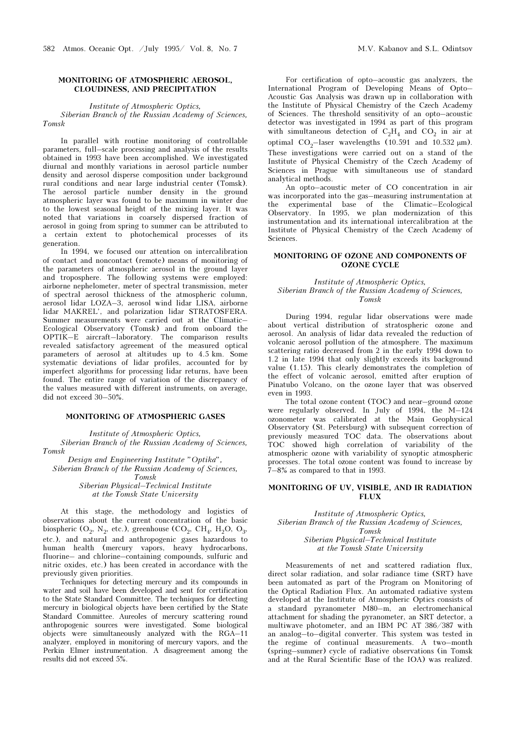#### MONITORING OF ATMOSPHERIC AEROSOL, CLOUDINESS, AND PRECIPITATION

Institute of Atmospheric Optics, Siberian Branch of the Russian Academy of Sciences, Tomsk

In parallel with routine monitoring of controllable parameters, full–scale processing and analysis of the results obtained in 1993 have been accomplished. We investigated diurnal and monthly variations in aerosol particle number density and aerosol disperse composition under background rural conditions and near large industrial center (Tomsk). The aerosol particle number density in the ground atmospheric layer was found to be maximum in winter due to the lowest seasonal height of the mixing layer. It was noted that variations in coarsely dispersed fraction of aerosol in going from spring to summer can be attributed to a certain extent to photochemical processes of its generation.

In 1994, we focused our attention on intercalibration of contact and noncontact (remote) means of monitoring of the parameters of atmospheric aerosol in the ground layer and troposphere. The following systems were employed: airborne nephelometer, meter of spectral transmission, meter of spectral aerosol thickness of the atmospheric column, aerosol lidar LOZA–3, aerosol wind lidar LISA, airborne lidar MAKREL', and polarization lidar STRATOSFERA. Summer measurements were carried out at the Climatic– Ecological Observatory (Tomsk) and from onboard the OPTIK–E aircraft–laboratory. The comparison results revealed satisfactory agreement of the measured optical parameters of aerosol at altitudes up to 4.5 km. Some systematic deviations of lidar profiles, accounted for by imperfect algorithms for processing lidar returns, have been found. The entire range of variation of the discrepancy of the values measured with different instruments, on average, did not exceed 30–50%.

## MONITORING OF ATMOSPHERIC GASES

Institute of Atmospheric Optics, Siberian Branch of the Russian Academy of Sciences, Tomsk

Design and Engineering Institute "Optika", Siberian Branch of the Russian Academy of Sciences, Tomsk Siberian Physical–Technical Institute at the Tomsk State University

At this stage, the methodology and logistics of observations about the current concentration of the basic biospheric (O<sub>2</sub>, N<sub>2</sub>, etc.), greenhouse (CO<sub>2</sub>, CH<sub>4</sub>, H<sub>2</sub>O, O<sub>3</sub>, etc.), and natural and anthropogenic gases hazardous to human health (mercury vapors, heavy hydrocarbons, fluorine– and chlorine–containing compounds, sulfuric and nitric oxides, etc.) has been created in accordance with the previously given priorities.

Techniques for detecting mercury and its compounds in water and soil have been developed and sent for certification to the State Standard Committee. The techniques for detecting mercury in biological objects have been certified by the State Standard Committee. Aureoles of mercury scattering round anthropogenic sources were investigated. Some biological objects were simultaneously analyzed with the RGA–11 analyzer, employed in monitoring of mercury vapors, and the Perkin Elmer instrumentation. A disagreement among the results did not exceed 5%.

For certification of opto–acoustic gas analyzers, the International Program of Developing Means of Opto– Acoustic Gas Analysis was drawn up in collaboration with the Institute of Physical Chemistry of the Czech Academy of Sciences. The threshold sensitivity of an opto–acoustic detector was investigated in 1994 as part of this program with simultaneous detection of  $C_2H_4$  and  $CO_2$  in air at optimal  $CO_2$ -laser wavelengths (10.591 and 10.532  $\mu$ m). These investigations were carried out on a stand of the Institute of Physical Chemistry of the Czech Academy of Sciences in Prague with simultaneous use of standard analytical methods.

An opto–acoustic meter of CO concentration in air was incorporated into the gas–measuring instrumentation at the experimental base of the Climatic–Ecological Observatory. In 1995, we plan modernization of this instrumentation and its international intercalibration at the Institute of Physical Chemistry of the Czech Academy of Sciences.

## MONITORING OF OZONE AND COMPONENTS OF OZONE CYCLE

#### Institute of Atmospheric Optics, Siberian Branch of the Russian Academy of Sciences, Tomsk

During 1994, regular lidar observations were made about vertical distribution of stratospheric ozone and aerosol. An analysis of lidar data revealed the reduction of volcanic aerosol pollution of the atmosphere. The maximum scattering ratio decreased from 2 in the early 1994 down to 1.2 in late 1994 that only slightly exceeds its background value (1.15). This clearly demonstrates the completion of the effect of volcanic aerosol, emitted after eruption of Pinatubo Volcano, on the ozone layer that was observed even in 1993.

The total ozone content (TOC) and near–ground ozone were regularly observed. In July of 1994, the M–124 ozonometer was calibrated at the Main Geophysical Observatory (St. Petersburg) with subsequent correction of previously measured TOC data. The observations about TOC showed high correlation of variability of the atmospheric ozone with variability of synoptic atmospheric processes. The total ozone content was found to increase by 7–8% as compared to that in 1993.

#### MONITORING OF UV, VISIBLE, AND IR RADIATION FLUX

Institute of Atmospheric Optics, Siberian Branch of the Russian Academy of Sciences, Tomsk Siberian Physical–Technical Institute

at the Tomsk State University

Measurements of net and scattered radiation flux, direct solar radiation, and solar radiance time (SRT) have been automated as part of the Program on Monitoring of the Optical Radiation Flux. An automated radiative system developed at the Institute of Atmospheric Optics consists of a standard pyranometer M80–m, an electromechanical attachment for shading the pyranometer, an SRT detector, a multiwave photometer, and an IBM PC AT 386/387 with an analog–to–digital converter. This system was tested in the regime of continual measurements. A two–month (spring–summer) cycle of radiative observations (in Tomsk and at the Rural Scientific Base of the IOA) was realized.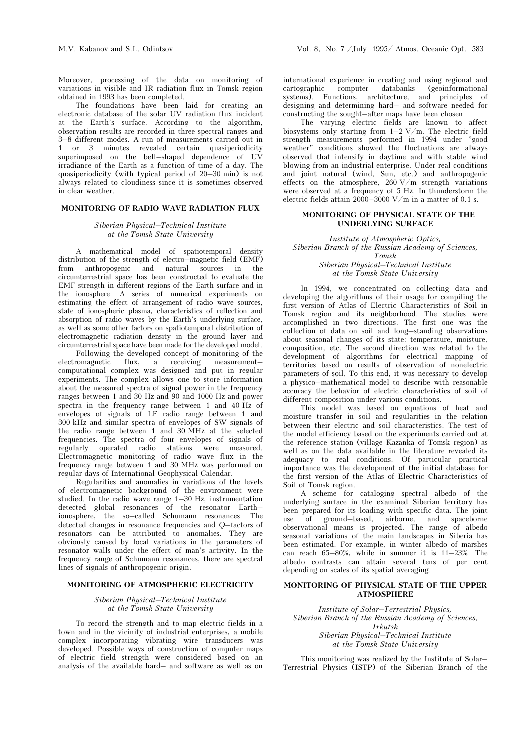Moreover, processing of the data on monitoring of variations in visible and IR radiation flux in Tomsk region obtained in 1993 has been completed.

The foundations have been laid for creating an electronic database of the solar UV radiation flux incident at the Earth's surface. According to the algorithm, observation results are recorded in three spectral ranges and 3–8 different modes. A run of measurements carried out in 1 or 3 minutes revealed certain quasiperiodicity superimposed on the bell–shaped dependence of UV irradiance of the Earth as a function of time of a day. The quasiperiodicity (with typical period of 20–30 min) is not always related to cloudiness since it is sometimes observed in clear weather.

## MONITORING OF RADIO WAVE RADIATION FLUX

#### Siberian Physical–Technical Institute at the Tomsk State University

A mathematical model of spatiotemporal density distribution of the strength of electro–magnetic field (EMF) from anthropogenic and natural sources in the circumterrestrial space has been constructed to evaluate the EMF strength in different regions of the Earth surface and in the ionosphere. A series of numerical experiments on estimating the effect of arrangement of radio wave sources, state of ionospheric plasma, characteristics of reflection and absorption of radio waves by the Earth's underlying surface, as well as some other factors on spatiotemporal distribution of electromagnetic radiation density in the ground layer and circumterrestrial space have been made for the developed model.

Following the developed concept of monitoring of the electromagnetic flux, a receiving measurement flux, a receiving measurement– computational complex was designed and put in regular experiments. The complex allows one to store information about the measured spectra of signal power in the frequency ranges between 1 and 30 Hz and 90 and 1000 Hz and power spectra in the frequency range between 1 and 40 Hz of envelopes of signals of LF radio range between 1 and 300 kHz and similar spectra of envelopes of SW signals of the radio range between 1 and 30 MHz at the selected frequencies. The spectra of four envelopes of signals of regularly operated radio stations were measured. Electromagnetic monitoring of radio wave flux in the frequency range between 1 and 30 MHz was performed on regular days of International Geophysical Calendar.

Regularities and anomalies in variations of the levels of electromagnetic background of the environment were studied. In the radio wave range 1–30 Hz, instrumentation detected global resonances of the resonator Earth– ionosphere, the so–called Schumann resonances. The detected changes in resonance frequencies and Q–factors of resonators can be attributed to anomalies. They are obviously caused by local variations in the parameters of resonator walls under the effect of man's activity. In the frequency range of Schumann resonances, there are spectral lines of signals of anthropogenic origin.

#### MONITORING OF ATMOSPHERIC ELECTRICITY

#### Siberian Physical–Technical Institute at the Tomsk State University

To record the strength and to map electric fields in a town and in the vicinity of industrial enterprises, a mobile complex incorporating vibrating wire transducers was developed. Possible ways of construction of computer maps of electric field strength were considered based on an analysis of the available hard– and software as well as on international experience in creating and using regional and cartographic computer databanks (geoinformational systems). Functions, architecture, and principles of designing and determining hard– and software needed for constructing the sought–after maps have been chosen.

The varying electric fields are known to affect biosystems only starting from 1–2 V/m. The electric field strength measurements performed in 1994 under "good weather" conditions showed the fluctuations are always observed that intensify in daytime and with stable wind blowing from an industrial enterprise. Under real conditions and joint natural (wind, Sun, etc.) and anthropogenic effects on the atmosphere,  $260 \text{ V/m}$  strength variations were observed at a frequency of 5 Hz. In thunderstorm the electric fields attain 2000–3000 V/m in a matter of 0.1 s.

#### MONITORING OF PHYSICAL STATE OF THE UNDERLYING SURFACE

Institute of Atmospheric Optics, Siberian Branch of the Russian Academy of Sciences, Tomsk Siberian Physical–Technical Institute at the Tomsk State University

In 1994, we concentrated on collecting data and developing the algorithms of their usage for compiling the first version of Atlas of Electric Characteristics of Soil in Tomsk region and its neighborhood. The studies were accomplished in two directions. The first one was the collection of data on soil and long–standing observations about seasonal changes of its state: temperature, moisture, composition, etc. The second direction was related to the development of algorithms for electrical mapping of territories based on results of observation of nonelectric parameters of soil. To this end, it was necessary to develop a physico–mathematical model to describe with reasonable accuracy the behavior of electric characteristics of soil of different composition under various conditions.

This model was based on equations of heat and moisture transfer in soil and regularities in the relation between their electric and soil characteristics. The test of the model efficiency based on the experiments carried out at the reference station (village Kazanka of Tomsk region) as well as on the data available in the literature revealed its adequacy to real conditions. Of particular practical importance was the development of the initial database for the first version of the Atlas of Electric Characteristics of Soil of Tomsk region.

A scheme for cataloging spectral albedo of the underlying surface in the examined Siberian territory has been prepared for its loading with specific data. The joint use of ground–based, airborne, and spaceborne observational means is projected. The range of albedo seasonal variations of the main landscapes in Siberia has been estimated. For example, in winter albedo of marshes can reach 65–80%, while in summer it is 11–23%. The albedo contrasts can attain several tens of per cent depending on scales of its spatial averaging.

## MONITORING OF PHYSICAL STATE OF THE UPPER ATMOSPHERE

Institute of Solar–Terrestrial Physics, Siberian Branch of the Russian Academy of Sciences, Irkutsk Siberian Physical–Technical Institute at the Tomsk State University

This monitoring was realized by the Institute of Solar– Terrestrial Physics (ISTP) of the Siberian Branch of the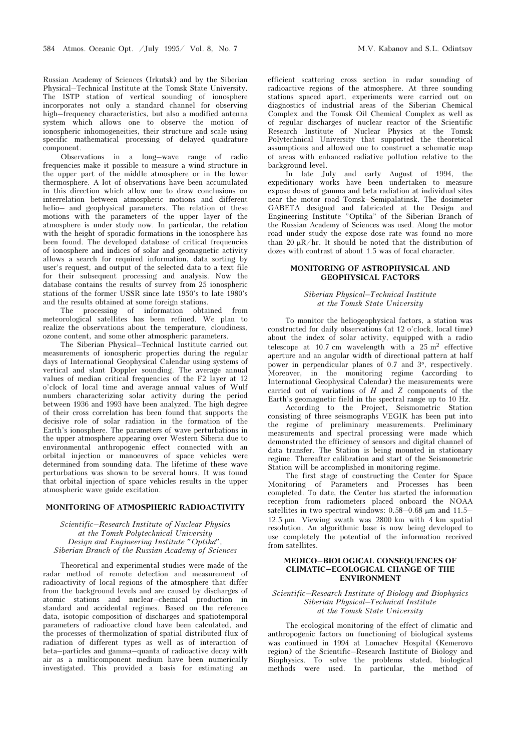Russian Academy of Sciences (Irkutsk) and by the Siberian Physical–Technical Institute at the Tomsk State University. The ISTP station of vertical sounding of ionosphere incorporates not only a standard channel for observing high–frequency characteristics, but also a modified antenna system which allows one to observe the motion of ionospheric inhomogeneities, their structure and scale using specific mathematical processing of delayed quadrature component.

Observations in a long–wave range of radio frequencies make it possible to measure a wind structure in the upper part of the middle atmosphere or in the lower thermosphere. A lot of observations have been accumulated in this direction which allow one to draw conclusions on interrelation between atmospheric motions and different helio– and geophysical parameters. The relation of these motions with the parameters of the upper layer of the atmosphere is under study now. In particular, the relation with the height of sporadic formations in the ionosphere has been found. The developed database of critical frequencies of ionosphere and indices of solar and geomagnetic activity allows a search for required information, data sorting by user's request, and output of the selected data to a text file for their subsequent processing and analysis. Now the database contains the results of survey from 25 ionospheric stations of the former USSR since late 1950's to late 1980's and the results obtained at some foreign stations.

The processing of information obtained from meteorological satellites has been refined. We plan to realize the observations about the temperature, cloudiness, ozone content, and some other atmospheric parameters.

The Siberian Physical–Technical Institute carried out measurements of ionospheric properties during the regular days of International Geophysical Calendar using systems of vertical and slant Doppler sounding. The average annual values of median critical frequencies of the F2 layer at 12 o'clock of local time and average annual values of Wulf numbers characterizing solar activity during the period between 1936 and 1993 have been analyzed. The high degree of their cross correlation has been found that supports the decisive role of solar radiation in the formation of the Earth's ionosphere. The parameters of wave perturbations in the upper atmosphere appearing over Western Siberia due to environmental anthropogenic effect connected with an orbital injection or manoeuvres of space vehicles were determined from sounding data. The lifetime of these wave perturbations was shown to be several hours. It was found that orbital injection of space vehicles results in the upper atmospheric wave guide excitation.

## MONITORING OF ATMOSPHERIC RADIOACTIVITY

#### Scientific–Research Institute of Nuclear Physics at the Tomsk Polytechnical University Design and Engineering Institute "Optika", Siberian Branch of the Russian Academy of Sciences

Theoretical and experimental studies were made of the radar method of remote detection and measurement of radioactivity of local regions of the atmosphere that differ from the background levels and are caused by discharges of atomic stations and nuclear–chemical production in standard and accidental regimes. Based on the reference data, isotopic composition of discharges and spatiotemporal parameters of radioactive cloud have been calculated, and the processes of thermolization of spatial distributed flux of radiation of different types as well as of interaction of beta–particles and gamma–quanta of radioactive decay with air as a multicomponent medium have been numerically investigated. This provided a basis for estimating an

efficient scattering cross section in radar sounding of radioactive regions of the atmosphere. At three sounding stations spaced apart, experiments were carried out on diagnostics of industrial areas of the Siberian Chemical Complex and the Tomsk Oil Chemical Complex as well as of regular discharges of nuclear reactor of the Scientific Research Institute of Nuclear Physics at the Tomsk Polytechnical University that supported the theoretical assumptions and allowed one to construct a schematic map of areas with enhanced radiative pollution relative to the background level.

In late July and early August of 1994, the expeditionary works have been undertaken to measure expose doses of gamma and beta radiation at individual sites near the motor road Tomsk–Semipalatinsk. The dosimeter GABETA designed and fabricated at the Design and Engineering Institute "Optika" of the Siberian Branch of the Russian Academy of Sciences was used. Along the motor road under study the expose dose rate was found no more than 20  $\mu$ R/hr. It should be noted that the distribution of dozes with contrast of about 1.5 was of focal character.

## MONITORING OF ASTROPHYSICAL AND GEOPHYSICAL FACTORS

#### Siberian Physical–Technical Institute at the Tomsk State University

To monitor the heliogeophysical factors, a station was constructed for daily observations (at 12 o'clock, local time) about the index of solar activity, equipped with a radio telescope at 10.7 cm wavelength with a  $25 \text{ m}^2$  effective aperture and an angular width of directional pattern at half power in perpendicular planes of 0.7 and 3°, respectively. Moreover, in the monitoring regime (according to International Geophysical Calendar) the measurements were carried out of variations of  $H$  and  $Z$  components of the Earth's geomagnetic field in the spectral range up to 10 Hz.

According to the Project, Seismometric Station consisting of three seismographs VEGIK has been put into the regime of preliminary measurements. Preliminary measurements and spectral processing were made which demonstrated the efficiency of sensors and digital channel of data transfer. The Station is being mounted in stationary regime. Thereafter calibration and start of the Seismometric Station will be accomplished in monitoring regime.

The first stage of constructing the Center for Space Monitoring of Parameters and Processes has been completed. To date, the Center has started the information reception from radiometers placed onboard the NOAA satellites in two spectral windows: 0.58–0.68  $\mu$ m and 11.5– 12.5  $\mu$ m. Viewing swath was 2800 km with 4 km spatial resolution. An algorithmic base is now being developed to use completely the potential of the information received from satellites.

## MEDICO–BIOLOGICAL CONSEQUENCES OF CLIMATIC–ECOLOGICAL CHANGE OF THE ENVIRONMENT

#### Scientific–Research Institute of Biology and Biophysics Siberian Physical–Technical Institute at the Tomsk State University

The ecological monitoring of the effect of climatic and anthropogenic factors on functioning of biological systems was continued in 1994 at Lomachev Hospital (Kemerovo region) of the Scientific–Research Institute of Biology and Biophysics. To solve the problems stated, biological methods were used. In particular, the method of